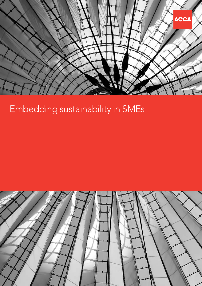

# Embedding sustainability in SMEs

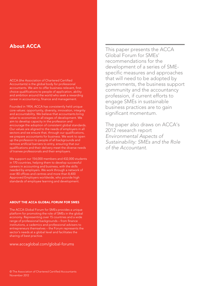# About ACCA

ACCA (the Association of Chartered Certified Accountants) is the global body for professional accountants. We aim to offer business-relevant, firstchoice qualifications to people of application, ability and ambition around the world who seek a rewarding career in accountancy, finance and management.

Founded in 1904, ACCA has consistently held unique core values: opportunity, diversity, innovation, integrity and accountability. We believe that accountants bring value to economies in all stages of development. We aim to develop capacity in the profession and encourage the adoption of consistent global standards. Our values are aligned to the needs of employers in all sectors and we ensure that, through our qualifications, we prepare accountants for business. We work to open up the profession to people of all backgrounds and remove artificial barriers to entry, ensuring that our qualifications and their delivery meet the diverse needs of trainee professionals and their employers.

We support our 154,000 members and 432,000 students in 170 countries, helping them to develop successful careers in accounting and business, with the skills needed by employers. We work through a network of over 80 offices and centres and more than 8,400 Approved Employers worldwide, who provide high standards of employee learning and development.

### ABOUT THE ACCA GLOBAL FORUM FOR SMES

The ACCA Global Forum for SMEs provides a unique platform for promoting the role of SMEs in the global economy. Representing over 15 countries and a wide range of professional backgrounds – from finance institutions, a cademics and professional advisers to entrepreneurs themselves – the Forum represents the sector's needs at a global level and facilitates the sharing of best practice.

<www.accaglobal.com/global-forums>

This paper presents the ACCA Global Forum for SMEs' recommendations for the development of a series of SMEspecific measures and approaches that will need to be adopted by governments, the business support community and the accountancy profession, if current efforts to engage SMEs in sustainable business practices are to gain significant momentum.

The paper also draws on ACCA's 2012 research report *[Environmental Aspects of](http://www.accaglobal.com/content/dam/acca/global/PDF-technical/small-business/rr-128-001.pdf)  [Sustainability: SMEs and the Role](http://www.accaglobal.com/content/dam/acca/global/PDF-technical/small-business/rr-128-001.pdf)  [of the Accountant](http://www.accaglobal.com/content/dam/acca/global/PDF-technical/small-business/rr-128-001.pdf)*.

2 November 2012 © The Association of Chartered Certified Accountants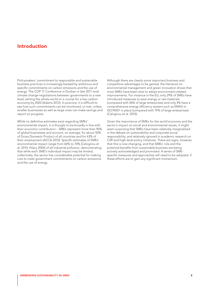# Introduction

Policymakers' commitment to responsible and sustainable business practices is increasingly backed by ambitious and specific commitments on carbon emissions and the use of energy. The COP 17 Conference in Durban in late 2011 took climate change negotiations between governments to a new level, setting the whole world on a course for a low-carbon economy by 2020 (Adams 2012). In practice, it is difficult to see how such commitments can be monitored, or met, unless smaller businesses as well as large ones can make savings and report on progress.

While no definitive estimates exist regarding SMEs' environmental impact, it is thought to be broadly in line with their economic contribution – SMEs represent more than 90% of global businesses and account, on average, for about 50% of Gross Domestic Product of all countries and for 63% of their employment (ACCA 2010). Specific estimates of SMEs' environmental impact range from 60% to 70% (Calogirou et al. 2010; Hilary 2004) of all industrial pollution, demonstrating that while each SME's individual impact may be limited, collectively, the sector has considerable potential for making cuts to meet government commitments on carbon emissions and the use of energy.

Although there are clearly some important business and competitive advantages to be gained, the literature on environmental management and green innovation shows that most SMEs have been slow to adopt environment-related improvements. For instance in the EU, only 29% of SMEs have introduced measures to save energy or raw materials (compared with 46% of large enterprises) and only 4% have a comprehensive energy efficiency system such as EMAS or ISO14001 in place (compared with 19% of large enterprises) (Calogirou et al. 2010).

Given the importance of SMEs for the world economy and the sector's impact on social and environmental issues, it might seem surprising that SMEs have been relatively marginalised in the debate on sustainability and corporate social responsibility, and relatively ignored in academic research on CSR and high-level policy initiatives. There are signs, however, that this is now changing, and that SMEs' role and the potential benefits from sustainable business are being actively acknowledged and promoted. A series of SMEspecific measures and approaches will need to be adopted, if these efforts are to gain any significant momentum.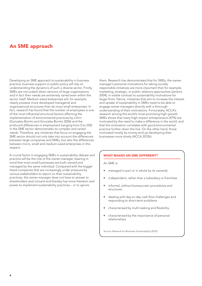# An SME approach

Developing an SME approach to sustainability in business practice, business support or public policy will rely on understanding the dynamics of such a diverse sector. Firstly, SMEs are not scaled-down versions of large organisations and in fact their needs are extremely varied even within the sector itself. Medium-sized enterprises will, for example, clearly possess more developed managerial and organisational structures than do most small enterprises. In fact, research has found that the number of employees is one of the most influential structural factors affecting the implementation of environmental practices by a firm (Gonzalez-Bonito and Gonzalez-Bonito 2006) and the profound differences in employment (ranging from 0 to 250) in the SME sector demonstrates its complex and varied needs. Therefore, any initiatives that focus on engaging the SME sector should not only take into account the differences between large companies and SMEs, but also the differences between micro, small and medium-sized enterprises in this respect.

A crucial factor in engaging SMEs in sustainability debate and practice will be the role of the owner-manager, bearing in mind that most small businesses are both owned and managed by the same individual. Compared with the bigger listed companies that are increasingly under pressure by various stakeholders to report on their sustainability practices, the owner-manager does not have to answer to shareholders and a board and thereby has more freedom and power to implement sustainability practices – or to ignore

them. Research has demonstrated that for SMEs, the ownermanager's personal motivations for taking socially responsible initiatives are more important than for example, marketing, strategic, or public relations approaches (Jenkins 2004), in visible contrast to sustainability motivations for larger firms. Hence, initiatives that aim to increase the interest and uptake of sustainability in SMEs need to be able to engage owner-managers directly with a thorough understanding of their motivations. Fortunately, ACCA's research among the world's most promising high-growth SMEs shows that many high-impact entrepreneurs (47%) are motivated by the need to make a difference in the world, and that this motivation correlates with good environmental practice further down the line. On the other hand, those motivated mostly by money end up developing their businesses more slowly (ACCA 2012b).

#### WHAT MAKES AN SME DIFFERENT?

An SME is:

- managed in part or in whole by its owner(s)
- independent, rather than a subsidiary or franchise
- • informal, without bureaucratic procedures and structures
- • dealing with day-to-day cash flow challenges and responding to short-term problems
- characterised by multi-tasking and flexibility
- characterised by the importance of personal relationships

Source: Network for Business Sustainability (2012).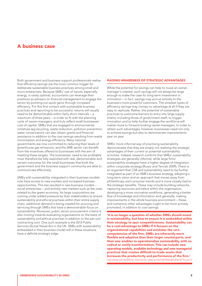## A business case

Both government and business-support professionals realise that efficiency savings are the most common trigger for deliberate sustainable business practices among small and micro enterprises. Because SMEs' use of inputs, especially energy, is rarely optimal, accountants can leverage their positions as advisers on financial management to engage the sector by pointing out quick gains through increased efficiency. For this first contact with sustainable business practices and reporting to be successful, returns will usually need to be demonstrable within fairly short intervals – a maximum of three years – in order to fit with the planning cycle of owner-managers, and truly reflect small businesses' cost of capital. SMEs that are engaged in environmental initiatives (eg recycling, waste reduction, pollution prevention, water conservation) can also obtain grants and financial assistance in addition to the cost savings resulting from waste minimisation and energy efficiency. Many national governments are now committed to reducing their levels of greenhouse gas emissions, and the SME sector can benefit from the incentives offered to businesses with the aim of meeting these targets. The businesses' need to be profitable must therefore be fully exploited with real, demonstrable and certain outcomes for the small businesses that both the government and the business support community are able to communicate effectively.

SMEs with sustainability integrated in their business models now have access to new markets and increased business opportunities. This has resulted in new business models – social enterprises – and entirely new markets such as the ones related to the green economy. As large corporations are coming under added pressure by their stakeholders to ensure sustainability and ethical practises within their entire supply chain, additional demand is being created for sourcing and servicing through SMEs that have a demonstrable focus on sustainability. Moreover, public sector procurement criteria is also moving towards evaluating organisations on the basis of sustainability and ethical practises in addition to the per-unit contracting cost. One such example is the 2012 Public Services (Social Value) Act in the UK. SMEs with sustainability embedded in their business model will in these situations have a definite strategic edge.

## RAISING AWARENESS OF STRATEGIC ADVANTAGES

While the potential for savings can help to rouse an ownermanager's interest, such savings will not always be large enough to make the case for long-term investment or innovation – in fact, savings may accrue entirely to the business's more powerful customers. The simplest types of efficiency savings may convey no advantage at all if they are easy to replicate. Rather, the potential of sustainable practices to overcome barriers to entry into large supply chains, including those of government itself, to trigger innovation and to help further engage the workforce will matter more to forward-looking owner-managers. In order to obtain such advantages, however, businesses need not only to achieve savings but also to demonstrate improvements year on year.

SMEs' more informal way of practising sustainability demonstrates that they are simply not realising the strategic advantages of their current or potential sustainability activities. Indeed, research confirms that SMEs' sustainability strategies are generally informal, while large firms' sustainability strategies have a higher degree of integration within corporate strategy (Russo and Tencati 2009). There is an argument that CSR and sustainability need to be further integrated as part of an SME's business strategy, adopting a long-term vision and an approach that moves away from philanthropy and consumer trends and is more closely tied to the strategic benefits. These may include building networks, capturing resources and talent within the organisation, developing a more innovative workforce, generating a better flow of knowledge and information and generally, making improvements in the whole business environment – these, and numerous other advantages ought to be more actively promoted, in addition to cost savings.

'It is no longer a question of whether SMEs should invest in sustainability, but how to ensure it is embedded within their strategy to spur competitiveness. Sustainability can be a cost-advantage to SMEs if it focuses on the organizational capabilities and emulates the core competencies of the firm. SMEs are inherently more flexible and adaptive than their larger counterparts, and their size enables to operationalize sustainability with no radical or costly transformation. This can include new operating models, available technology and new managerial practices that creates difficult-to-trade assets that increases the productivity and performance of the firm.' TATJANA DE KERROS, ADVISOR, SME & ENTREPRENEURSHIP POLICY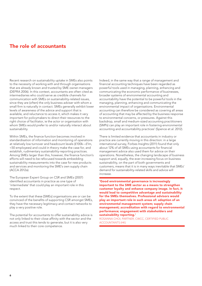# The role of accountants

Recent research on sustainability uptake in SMEs also points to the necessity of working with and through organisations that are already known and trusted by SME owner-managers (DEFRA 2006). In this context, accountants are often cited as intermediaries who could serve as credible channels for communication with SMEs on sustainability-related issues, since they are (often) the only business adviser with whom a small firm is naturally in contact. SMEs generally exhibit lower levels of awareness of the advice and support that is available, and reluctance to access it, which makes it very important for policymakers to direct their resources to the right choice of facilitator, ie the actor or organisation with whom SMEs would prefer to and/or naturally interact about sustainability.

Within SMEs, the finance function becomes involved in standardisation of information and monitoring of operations at relatively low turnover and headcount levels (£100k-–£1m, <50 employees) and could in theory make the case for, and establish, rudimentary sustainability-reporting practices. Among SMEs larger than this, however, the finance function's efforts will need to be refocused towards embedding sustainability measurements into the case for new products and services and monitoring the SME's own supply chain (ACCA 2012a).

The European Expert Group on CSR and SMEs (2007) identified accountants in practice as one type of 'intermediate' that could play an important role in this respect.

To the extent that these [SMEs] organisations are or can be convinced of the benefits of supporting CSR amongst SMEs, they have the necessary legitimacy and contact networks to play a very positive role.

The potential for accountants to offer sustainability advice is not only linked to their close affinity with the sector and the access and trust this tends to generate, but it is also very much linked to their core competence.

Indeed, in the same way that a range of management and financial accounting techniques have been regarded as powerful tools used in managing, planning, enhancing and communicating the economic performance of businesses, broader systems of environmental accounting and accountability have the potential to be powerful tools in the managing, planning, enhancing and communicating the environmental impact of organisations. Environmental accounting can therefore be considered as covering all areas of accounting that may be affected by the business response to environmental concerns, or pressures. Against this backdrop, small and medium-sized accounting practitioners (SMPs) can play an important role in fostering environmental accounting and accountability practices' (Spence et al. 2012).

There is limited evidence that accountants in industry or practice are currently moving in this direction: in a large international survey, Forbes Insights (2011) found that only about 12% of all SMEs using accountants for financial management advice also used them for advice on their operations. Nonetheless, the changing landscape of business support and, equally, the ever-increasing focus on business sustainability, on the part of both governments and customers, means that it is in many ways inevitable that SMEs' demand for sustainability-related skills and advice will increase.

'Good environmental governance is increasingly important to the SME sector as a means to strengthen customer loyalty and enhance company image. In fact, it would lead to competitive advantage and sustainability for the SMEs themselves. Professional advisors would play an important role in such areas of: adoption of an environmental management system; supply chain management; accreditation with regard to environmental performance; engagement with stakeholders and sustainability reporting.'

ROSANNA CHOI, PARTNER, CWCC, CERTIFIED PUBLIC ACCOUNTANTS (HK)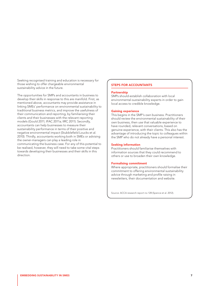Seeking recognised training and education is necessary for those wishing to offer chargeable environmental sustainability advice in the future.

The opportunities for SMPs and accountants in business to develop their skills in response to this are manifold. First, as mentioned above, accountants may provide assistance in linking SMEs' performance on environmental sustainability to traditional business metrics, and improve the usefulness of their communication and reporting, by familiarising their clients and their businesses with the relevant reporting models (Gould 2011; IFAC 2011a; IIRC 2011). Secondly, accountants can help businesses to measure their sustainability performance in terms of their positive and negative environmental impact (Stubblefield Loucks et al. 2010). Thirdly, accountants working both in SMEs or advising the owner-managers can play a leading role in communicating the business case. For any of this potential to be realised, however, they will need to take some vital steps towards developing their businesses and their skills in this direction.

## STEPS FOR ACCOUNTANTS

#### **Partnership**

SMPs should establish collaboration with local environmental-sustainability experts in order to gain local access to credible knowledge.

#### Gaining experience

This begins in the SMP's own business. Practitioners should review the environmental sustainability of their own business, then use that valuable experience to have rounded, relevant conversations, based on genuine experience, with their clients. This also has the advantage of introducing the topic to colleagues within the SMP who do not already have a personal interest.

#### Seeking information

Practitioners should familiarise themselves with information sources that they could recommend to others or use to broaden their own knowledge.

#### Formalising commitment

Where appropriate, practitioners should formalise their commitment to offering environmental sustainability advice through marketing and profile raising in newsletters, their documentation and website.

Source: ACCA research report no 128 (Spence et al. 2012).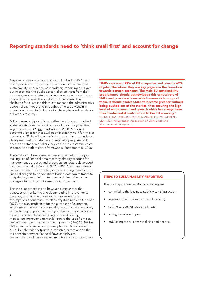# Reporting standards need to 'think small first' and account for change

Regulators are rightly cautious about lumbering SMEs with disproportionate regulatory requirements in the name of sustainability; in practice, as mandatory reporting by larger businesses and the public sector relies on input from their suppliers, sooner or later reporting requirements are likely to trickle down to even the smallest of businesses. The challenge for all stakeholders is to manage the administrative burden of such reporting throughout the supply chain in order to avoid wasteful duplication, heavy-handed regulation, or barriers to entry.

Policymakers and practitioners alike have long approached sustainability from the point of view of the more proactive large corporates (Plugge and Wiemer 2008). Standards developed by or for these will not necessarily work for smaller businesses. SMEs will rely particularly on common standards, clearly mapped to customer and regulatory requirements, because as standards-takers they can incur substantial costs in complying with multiple frameworks (Forstater et al. 2006).

The smallest of businesses require simple methodologies, making use of financial data that they already produce for management purposes and of conversion factors developed by government (DEFRA and DECC 2009). Combined, these can inform simple footprinting exercises, using input/output financial analysis to demonstrate businesses' commitment to footprinting, and to inform tenders and direct the ownermanagers towards priority areas for improvement.

This initial approach is not, however, sufficient for the purposes of monitoring and documenting improvements because, for the sake of simplicity, it relies on static assumptions about resource efficiency (Kilpinen and Clarkson 2009). It is also insufficient for the purposes of customers, whose main interest in sustainability reporting, as discussed, will be to flag up potential savings in their supply chains and monitor whether these are being achieved. Ideally, monitoring improvements would require the use of physical consumption data that are costly to prepare (IFAC 2011b), but SMEs can use financial and (some) physical data in order to build 'benchmark' footprints, establish assumptions on the relationship between financial flows and physical consumption and then forecast, monitor and report on these.

'SMEs represent 99% of EU companies and provide 67% of jobs. Therefore, they are key players in the transition towards a green economy. The main EU sustainability programmes should acknowledge this central role of SMEs and provide a favourable framework to support them. It should enable SMEs to become greener without being pushed out of the market, thus ensuring the high level of employment and growth which has always been their fundamental contribution to the EU economy.' GUIDO LENA, DIRECTOR FOR SUSTAINABLE DEVELOPMENT, UEAPME (The European Association of Craft, Small and Medium-sized Enterprises)

## STEPS TO SUSTAINABILITY REPORTING

The five steps to sustainability reporting are:

- committing the business publicly to taking action
- assessing the business' impact (footprint)
- setting targets for reducing impact
- acting to reduce impact
- publishing the business' policies and actions.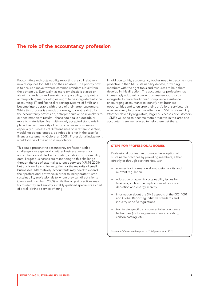## The role of the accountancy profession

Footprinting and sustainability reporting are still relatively new disciplines for SMEs and their advisers. The priority now is to ensure a move towards common standards, built from the bottom up. Eventually, as more emphasis is placed on aligning standards and ensuring comparability, footprinting and reporting methodologies ought to be integrated into the accounting, IT and financial reporting systems of SMEs and become interoperable with those of their larger customers. While this process is already underway, it is not realistic for the accountancy profession, entrepreneurs or policymakers to expect immediate results – these could take a decade or more to materialise. Even with widely accepted standards in place, the comparability of reports between businesses, especially businesses of different sizes or in different sectors, would not be guaranteed, as indeed it is not in the case for financial statements (Cole et al. 2009). Professional judgement would still be of the utmost importance.

This could present the accountancy profession with a challenge, since generally neither business owners nor accountants are skilled in translating costs into sustainability data. Larger businesses are responding to this challenge through the use of external assurance services (KPMG 2008) but this is unlikely to be an option for the majority of small businesses. Alternatively, accountants may need to extend their professional networks in order to incorporate trusted sustainability professionals to whom they can direct clients (Jarvis and Blackburn 2009), while the largest practices may try to identify and employ suitably qualified specialists as part of a well-defined service offering.

In addition to this, accountancy bodies need to become more proactive in the SME sustainability debate, providing members with the right tools and resources to help them develop in this direction. The accountancy profession has increasingly adopted broader business-support focus alongside its more 'traditional' compliance assistance, encouraging accountants to identify new business opportunities and to enlarge their portfolio of services. It is now necessary to give active attention to SME sustainability. Whether driven by regulators, larger businesses or customers – SMEs will need to become more proactive in this area and accountants are well placed to help them get there.

#### STEPS FOR PROFESSIONAL BODIES

Professional bodies can promote the adoption of sustainable practices by providing members, either directly or through partnerships, with:

- sources for information about sustainability and relevant regulation
- education on specific sustainability issues for business, such as the implications of resource depletion and energy scarcity
- information about the SME aspects of the ISO14001 and Global Reporting Initiative standards and industry-specific regulations
- training in specific environmental-accountancy techniques (including environmental auditing, carbon costing, etc).

Source: ACCA research report no 128 (Spence et al. 2012).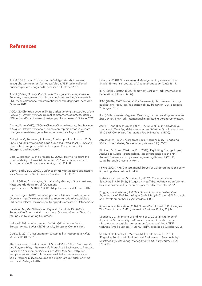## References

ACCA (2010), *Small Business: A Global Agenda*, [<http://www.](http://www.accaglobal.com/content/dam/acca/global/PDF-technical/small-business/pol-afb-sbaga.pdf) [accaglobal.com/content/dam/acca/global/PDF-technical/small](http://www.accaglobal.com/content/dam/acca/global/PDF-technical/small-business/pol-afb-sbaga.pdf)[business/pol-afb-sbaga.pdf](http://www.accaglobal.com/content/dam/acca/global/PDF-technical/small-business/pol-afb-sbaga.pdf)>, accessed 3 October 2012.

ACCA (2012a), *Driving SME Growth Through an Evolving Finance Function*, [<http://www.accaglobal.com/content/dam/acca/global/](http://www.accaglobal.com/content/dam/acca/global/PDF-technical/finance-transformation/pol-afb-dsgt.pdf) [PDF-technical/finance-transformation/pol-afb-dsgt.pdf](http://www.accaglobal.com/content/dam/acca/global/PDF-technical/finance-transformation/pol-afb-dsgt.pdf)>, accessed 3 October 2012.

ACCA (2012b), *High Growth SMEs: Understanding the Leaders of the Recovery*, [<http://www.accaglobal.com/content/dam/acca/global/](http://www.accaglobal.com/content/dam/acca/global/PDF-technical/small-business/pol-tp-hgs.pdf) [PDF-technical/small-business/pol-tp-hgs.pdf](http://www.accaglobal.com/content/dam/acca/global/PDF-technical/small-business/pol-tp-hgs.pdf)>, accessed 3 October 2012.

Adams, Roger (2012), 'CFOs in Climate Change Hotseat', Eco-Business, 3 August, [<http://www.eco-business.com/opinion/cfos-in-climate](http://www.eco-business.com/opinion/cfos-in-climate-change-hotseat-by-roger-adams/)[change-hotseat-by-roger-adams>](http://www.eco-business.com/opinion/cfos-in-climate-change-hotseat-by-roger-adams/), accessed 25 August 2012.

Calogirou, C, Sørensen, S., Larsen, P., Alexopoulou, S., et al. (2010), *SMEs and the Environment in the European Union,* PLANET SA and Danish Technological Institute (European Commission, DG Enterprise and Industry).

Cole, V., Branson, J. and Breesch, D. (2009), 'How to Measure the Comparability of Financial Statements?', *International Journal of Managerial and Financial Accounting,* 1 (4): 379–97.

DEFRA and DECC (2009), *Guidance on How to Measure and Report Your Greenhouse Gas Emissions* (London: DEFRA), 20.

DEFRA (2006), *Encouraging Sustainability Amongst Small Business*, <[http://randd.defra.gov.uk/Document.](http://randd.defra.gov.uk/Document.aspx?Document=SD14007_3807_INF.pdf) [aspx?Document=SD14007\\_3807\\_INF.pdf](http://randd.defra.gov.uk/Document.aspx?Document=SD14007_3807_INF.pdf)>, accessed 13 June 2012.

Forbes Insights (2011), *Rebuilding a Foundation for Post-recovery Growth*, [<http://www.accaglobal.com/content/dam/acca/global/](http://www.accaglobal.com/content/dam/acca/global/PDF-technical/small-business/pol-tp-hgs.pdf) [PDF-technical/small-business/pol-tp-hgs.pdf](http://www.accaglobal.com/content/dam/acca/global/PDF-technical/small-business/pol-tp-hgs.pdf)>, accessed 3 October 2012.

Forstater, M., MacGillivray, A., Raynard, P. and UNIDO (2006), *Responsible Trade and Market Access: Opportunities or Obstacles for SMEs in Developing Countries?*

Gallup (2009), *Innobarometer 2009 Analytical Report Flash Eurobarometer Series #267* (Brussels, European Commission).

Gould, S. (2011), 'Accounting for Sustainability', *Accountancy Plus,* March 2011 (1): 19–20.

The European Expert Group on CSR and SMEs (2007), *Opportunity and Responsibility – How to Help More Small Businesses to Integrate Social and Environmental Issues into What they Do*, [<http://ec.](http://ec.europa.eu/enterprise/policies/sustainable-business/corporate-social-responsibility/sme/european-expert-group/index_en.htm) [europa.eu/enterprise/policies/sustainable-business/corporate](http://ec.europa.eu/enterprise/policies/sustainable-business/corporate-social-responsibility/sme/european-expert-group/index_en.htm)[social-responsibility/sme/european-expert-group/index\\_en.htm>](http://ec.europa.eu/enterprise/policies/sustainable-business/corporate-social-responsibility/sme/european-expert-group/index_en.htm), accessed 25 August 2012.

Hillary, R. (2004), 'Environmental Management Systems and the Smaller Enterprise', *Journal of Cleaner Production*, 12 (6): 561–9.

IFAC (2011a), *Sustainability Framework 2.0* (New York: International Federation of Accountants).

IFAC (2011b), *IFAC Sustainability Framework*, <[http://www.ifac.org/](http://www.ifac.org/publications-resources/ifac-sustainability-framework-20) [publications-resources/ifac-sustainability-framework-20](http://www.ifac.org/publications-resources/ifac-sustainability-framework-20)>, accessed 25 August 2012.

IIRC (2011), *Towards Integrated Reporting. Communicating Value in the 21st Century* (New York: International Integrated Reporting Committee).

Jarvis, R. and Blackburn, R. (2009), *The Role of Small and Medium Practices in Providing Advice to Small and Medium Sized Enterprises, IFAC SMP Committee Information Paper* (New York: IFAC).

Jenkins H M. (2004), 'Corporate Social Responsibility – Engaging SMEs in the Debate', *New Academy Review*, 3 (3): 76-95

Kilpinen, M. S. and Clarkson, P. J. (2009), 'Exploiting Change Impact Analysis to Support sustainability', paper presented to the 7th Annual Conference on Systems Engineering Research (CSER), Loughborough University, April.

KPMG (2008), KPMG International Survey of Corporate Responsibility Reporting (Amsterdam: KPMG).

Network for Business Sustainability (2012), *Primer: Business Sustainability for SMEs*, 3 August, <http://nbs.net/knowledge/primerbusiness-sustainability-for-smes>, accessed 5 November 2012.

Plugge, L. and Wiemer, J. (2008), *Small, Smart and Sustainable: Experiences of SME Reporting in Global Supply Chains*, GRI Research and Development Series (Amsterdam: GRI).

Russo, A. and Tencati, A. (2009), 'Formal Vs Informal CSR Strategies. The Case of Italian SMEs', *Journal of Business Ethics*, 85 ( 2).

Spence L. J., Agyemang G. and Rinaldi L. (2012), *Environmental Aspects of Sustainability: SMEs and the Role of the Accountant*, [<http://www.accaglobal.com/content/dam/acca/global/PDF](http://www.accaglobal.com/content/dam/acca/global/PDF-technical/small-business/rr-128-001.pdf)[technical/small-business/rr-128-001.pdf](http://www.accaglobal.com/content/dam/acca/global/PDF-technical/small-business/rr-128-001.pdf)>, accessed 3 October 2012.

Stubblefield Loucks, E., Martens, M. L. and Cho, C. H. (2010), 'Engaging Small- and Medium-sized Businesses in Sustainability', *Sustainability Accounting, Management and Policy Journal*, 1 (2): 178–200.